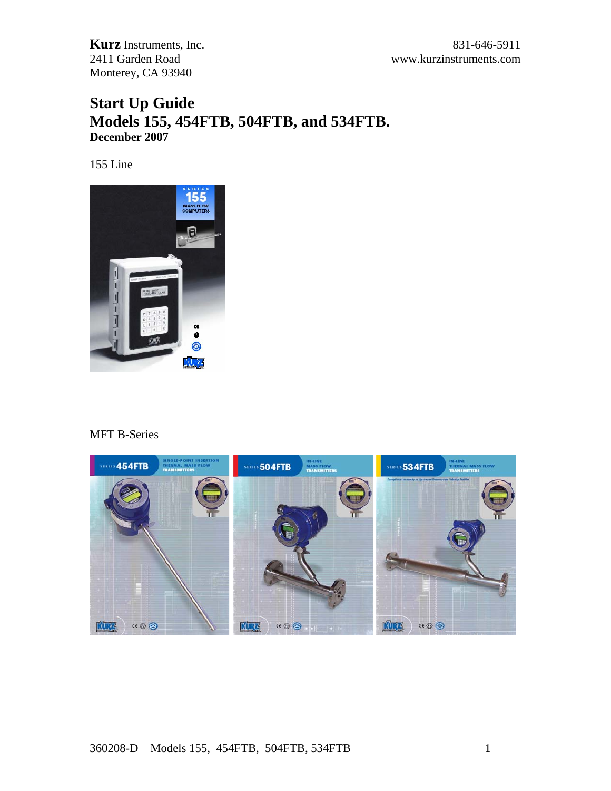# **Start Up Guide Models 155, 454FTB, 504FTB, and 534FTB. December 2007**

155 Line



#### MFT B-Series



#### 360208-D Models 155, 454FTB, 504FTB, 534FTB 1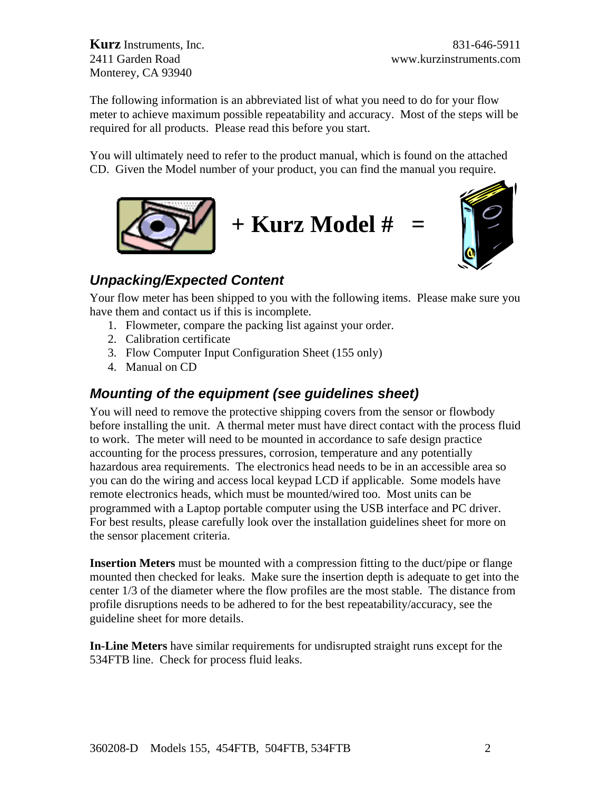The following information is an abbreviated list of what you need to do for your flow meter to achieve maximum possible repeatability and accuracy. Most of the steps will be required for all products. Please read this before you start.

You will ultimately need to refer to the product manual, which is found on the attached CD. Given the Model number of your product, you can find the manual you require.





# *Unpacking/Expected Content*

Your flow meter has been shipped to you with the following items. Please make sure you have them and contact us if this is incomplete.

- 1. Flowmeter, compare the packing list against your order.
- 2. Calibration certificate
- 3. Flow Computer Input Configuration Sheet (155 only)
- 4. Manual on CD

# *Mounting of the equipment (see guidelines sheet)*

You will need to remove the protective shipping covers from the sensor or flowbody before installing the unit. A thermal meter must have direct contact with the process fluid to work. The meter will need to be mounted in accordance to safe design practice accounting for the process pressures, corrosion, temperature and any potentially hazardous area requirements. The electronics head needs to be in an accessible area so you can do the wiring and access local keypad LCD if applicable. Some models have remote electronics heads, which must be mounted/wired too. Most units can be programmed with a Laptop portable computer using the USB interface and PC driver. For best results, please carefully look over the installation guidelines sheet for more on the sensor placement criteria.

**Insertion Meters** must be mounted with a compression fitting to the duct/pipe or flange mounted then checked for leaks. Make sure the insertion depth is adequate to get into the center 1/3 of the diameter where the flow profiles are the most stable. The distance from profile disruptions needs to be adhered to for the best repeatability/accuracy, see the guideline sheet for more details.

**In-Line Meters** have similar requirements for undisrupted straight runs except for the 534FTB line. Check for process fluid leaks.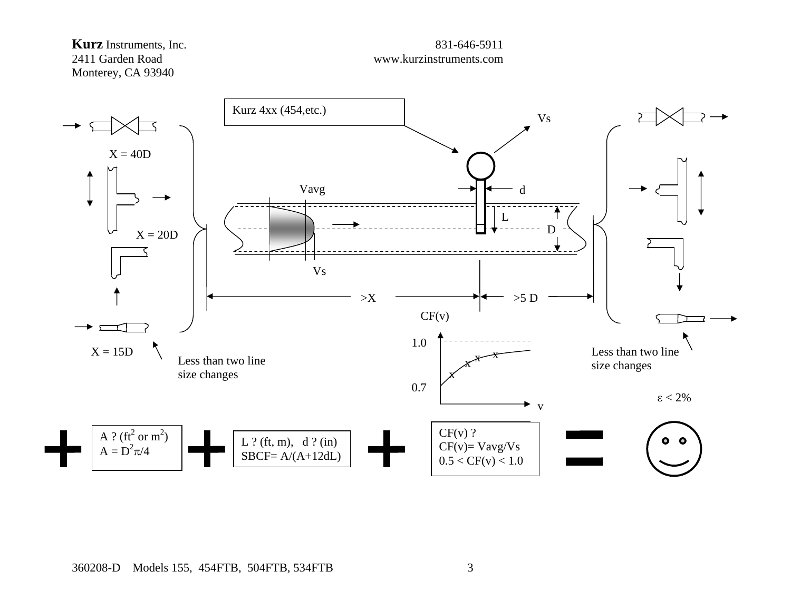#### **Kurz** Instruments, Inc. 831-646-5911 2411 Garden Road www.kurzinstruments.com Monterey, CA 93940



#### 360208-D Models 155, 454FTB, 504FTB, 534FTB 3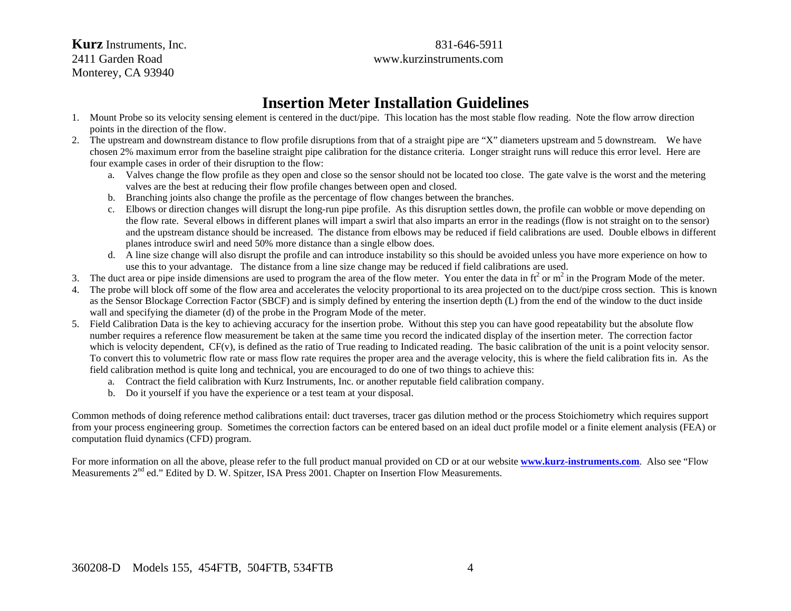**Kurz** Instruments, Inc. 831-646-5911 2411 Garden Road www.kurzinstruments.com Monterey, CA 93940

# **Insertion Meter Installation Guidelines**

- 1. Mount Probe so its velocity sensing element is centered in the duct/pipe. This location has the most stable flow reading. Note the flow arrow direction points in the direction of the flow.
- 2. The upstream and downstream distance to flow profile disruptions from that of a straight pipe are "X" diameters upstream and 5 downstream. We have chosen 2% maximum error from the baseline straight pipe calibration for the distance criteria. Longer straight runs will reduce this error level. Here are four example cases in order of their disruption to the flow:
	- a. Valves change the flow profile as they open and close so the sensor should not be located too close. The gate valve is the worst and the metering valves are the best at reducing their flow profile changes between open and closed.
	- b. Branching joints also change the profile as the percentage of flow changes between the branches.
	- c. Elbows or direction changes will disrupt the long-run pipe profile. As this disruption settles down, the profile can wobble or move depending on the flow rate. Several elbows in different planes will impart a swirl that also imparts an error in the readings (flow is not straight on to the sensor) and the upstream distance should be increased. The distance from elbows may be reduced if field calibrations are used. Double elbows in different planes introduce swirl and need 50% more distance than a single elbow does.
	- d. A line size change will also disrupt the profile and can introduce instability so this should be avoided unless you have more experience on how to use this to your advantage. The distance from a line size change may be reduced if field calibrations are used.
- 3. The duct area or pipe inside dimensions are used to program the area of the flow meter. You enter the data in  $ft^2$  or  $m^2$  in the Program Mode of the meter.
- 4. The probe will block off some of the flow area and accelerates the velocity proportional to its area projected on to the duct/pipe cross section. This is known as the Sensor Blockage Correction Factor (SBCF) and is simply defined by entering the insertion depth (L) from the end of the window to the duct inside wall and specifying the diameter (d) of the probe in the Program Mode of the meter.
- 5. Field Calibration Data is the key to achieving accuracy for the insertion probe. Without this step you can have good repeatability but the absolute flow number requires a reference flow measurement be taken at the same time you record the indicated display of the insertion meter. The correction factor which is velocity dependent,  $CF(v)$ , is defined as the ratio of True reading to Indicated reading. The basic calibration of the unit is a point velocity sensor. To convert this to volumetric flow rate or mass flow rate requires the proper area and the average velocity, this is where the field calibration fits in. As the field calibration method is quite long and technical, you are encouraged to do one of two things to achieve this:
	- a. Contract the field calibration with Kurz Instruments, Inc. or another reputable field calibration company.
	- b. Do it yourself if you have the experience or a test team at your disposal.

Common methods of doing reference method calibrations entail: duct traverses, tracer gas dilution method or the process Stoichiometry which requires support from your process engineering group. Sometimes the correction factors can be entered based on an ideal duct profile model or a finite element analysis (FEA) or computation fluid dynamics (CFD) program.

For more information on all the above, please refer to the full product manual provided on CD or at our website **[www.kurz-instruments.com](http://www.kurz-instruments.com/)**. Also see "Flow Measurements 2<sup>nd</sup> ed." Edited by D. W. Spitzer, ISA Press 2001. Chapter on Insertion Flow Measurements.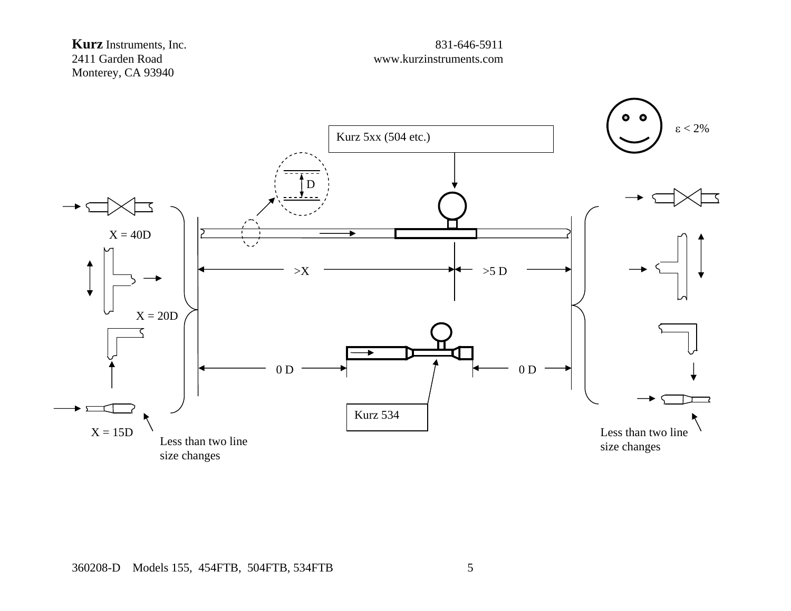

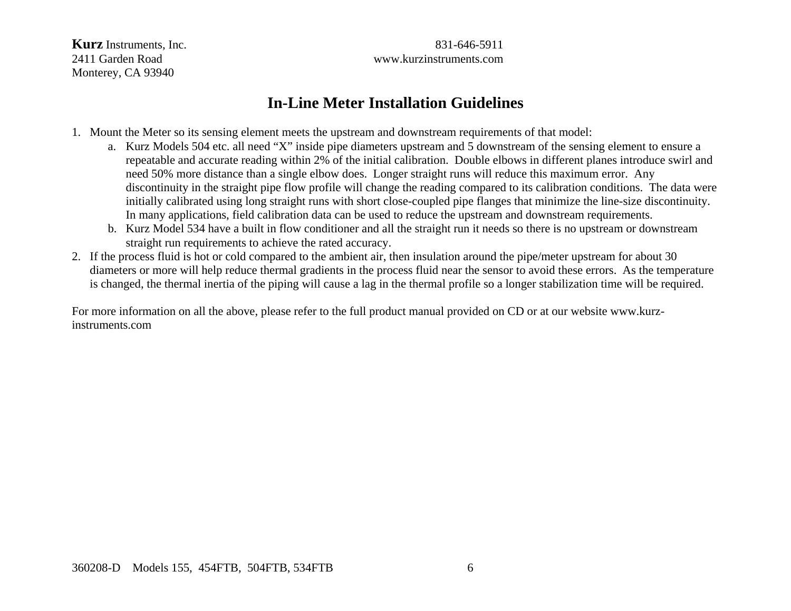**Kurz** Instruments, Inc. 6831-646-5911 2411 Garden Road www.kurzinstruments.com

# **In-Line Meter Installation Guidelines**

- 1. Mount the Meter so its sensing element meets the upstream and downstream requirements of that model:
	- a. Kurz Models 504 etc. all need "X" inside pipe diameters upstream and 5 downstream of the sensing element to ensure a repeatable and accurate reading within 2% of the initial calibration. Double elbows in different planes introduce swirl and need 50% more distance than a single elbow does. Longer straight runs will reduce this maximum error. Any discontinuity in the straight pipe flow profile will change the reading compared to its calibration conditions. The data were initially calibrated using long straight runs with short close-coupled pipe flanges that minimize the line-size discontinuity. In many applications, field calibration data can be used to reduce the upstream and downstream requirements.
	- b. Kurz Model 534 have a built in flow conditioner and all the straight run it needs so there is no upstream or downstream straight run requirements to achieve the rated accuracy.
- 2. If the process fluid is hot or cold compared to the ambient air, then insulation around the pipe/meter upstream for about 30 diameters or more will help reduce thermal gradients in the process fluid near the sensor to avoid these errors. As the temperature is changed, the thermal inertia of the piping will cause a lag in the thermal profile so a longer stabilization time will be required.

For more information on all the above, please refer to the full product manual provided on CD or at our website www.kurzinstruments.com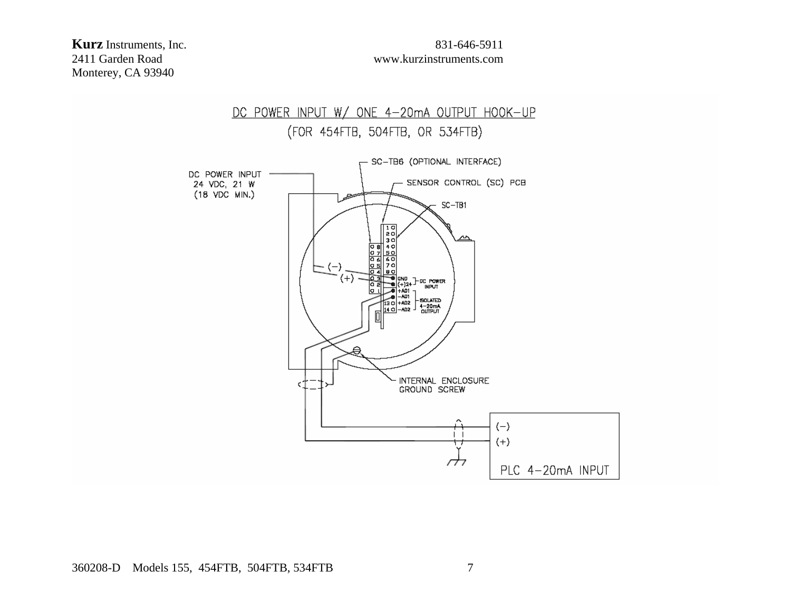# 2411 Garden Road www.kurzinstruments.com

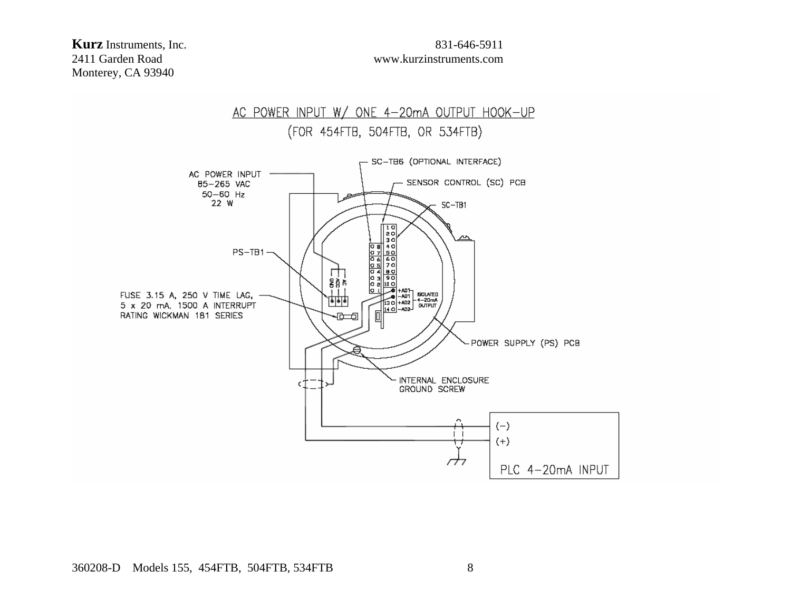# 2411 Garden Road www.kurzinstruments.com

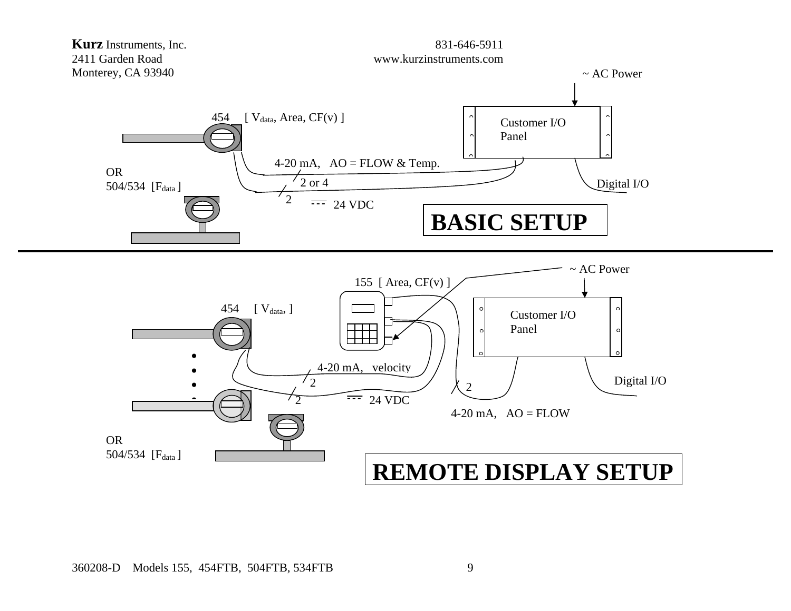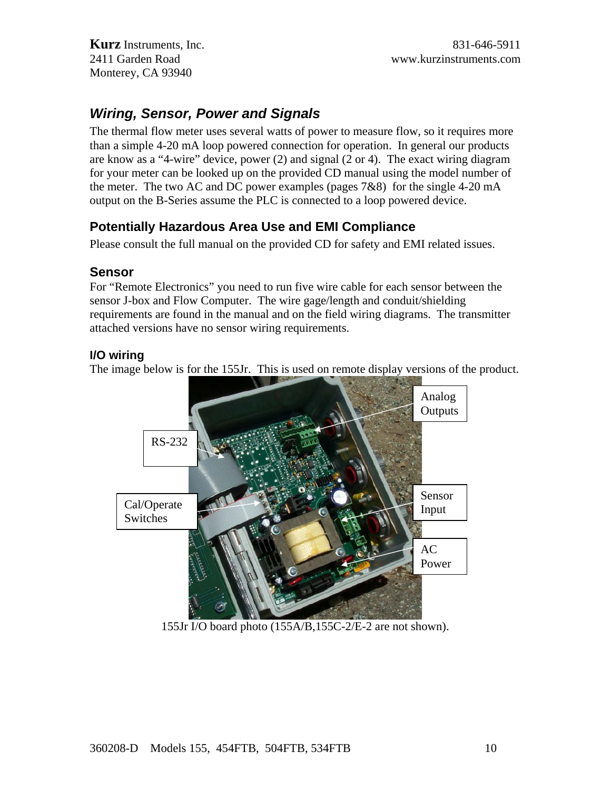# *Wiring, Sensor, Power and Signals*

The thermal flow meter uses several watts of power to measure flow, so it requires more than a simple 4-20 mA loop powered connection for operation. In general our products are know as a "4-wire" device, power (2) and signal (2 or 4). The exact wiring diagram for your meter can be looked up on the provided CD manual using the model number of the meter. The two AC and DC power examples (pages 7&8) for the single 4-20 mA output on the B-Series assume the PLC is connected to a loop powered device.

## **Potentially Hazardous Area Use and EMI Compliance**

Please consult the full manual on the provided CD for safety and EMI related issues.

#### **Sensor**

For "Remote Electronics" you need to run five wire cable for each sensor between the sensor J-box and Flow Computer. The wire gage/length and conduit/shielding requirements are found in the manual and on the field wiring diagrams. The transmitter attached versions have no sensor wiring requirements.

#### **I/O wiring**

The image below is for the 155Jr. This is used on remote display versions of the product.



155Jr I/O board photo (155A/B,155C-2/E-2 are not shown).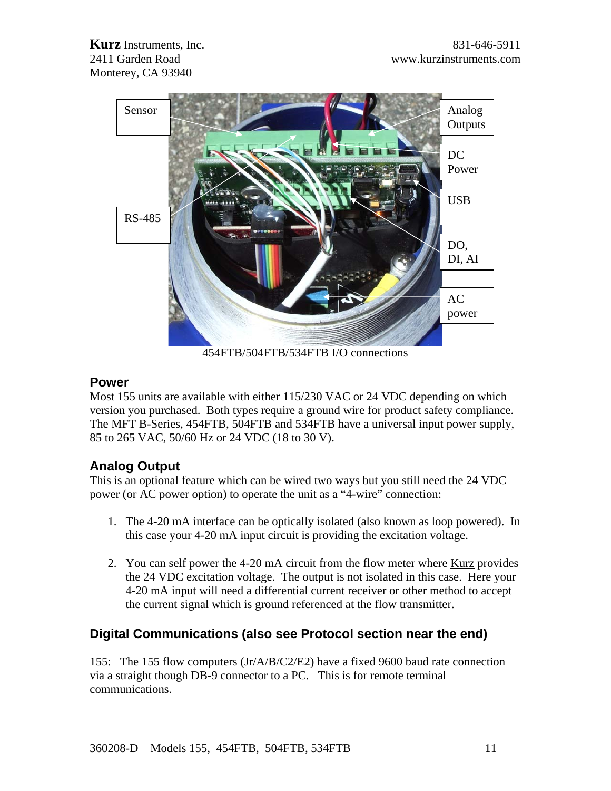

454FTB/504FTB/534FTB I/O connections

### **Power**

Most 155 units are available with either 115/230 VAC or 24 VDC depending on which version you purchased. Both types require a ground wire for product safety compliance. The MFT B-Series, 454FTB, 504FTB and 534FTB have a universal input power supply, 85 to 265 VAC, 50/60 Hz or 24 VDC (18 to 30 V).

### **Analog Output**

This is an optional feature which can be wired two ways but you still need the 24 VDC power (or AC power option) to operate the unit as a "4-wire" connection:

- 1. The 4-20 mA interface can be optically isolated (also known as loop powered). In this case your 4-20 mA input circuit is providing the excitation voltage.
- 2. You can self power the 4-20 mA circuit from the flow meter where Kurz provides the 24 VDC excitation voltage. The output is not isolated in this case. Here your 4-20 mA input will need a differential current receiver or other method to accept the current signal which is ground referenced at the flow transmitter.

### **Digital Communications (also see Protocol section near the end)**

155: The 155 flow computers (Jr/A/B/C2/E2) have a fixed 9600 baud rate connection via a straight though DB-9 connector to a PC. This is for remote terminal communications.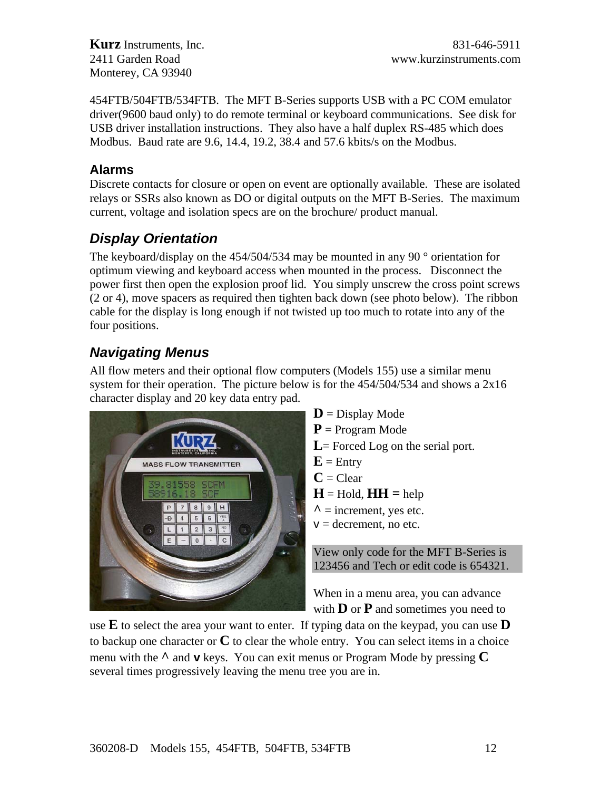454FTB/504FTB/534FTB. The MFT B-Series supports USB with a PC COM emulator driver(9600 baud only) to do remote terminal or keyboard communications. See disk for USB driver installation instructions. They also have a half duplex RS-485 which does Modbus. Baud rate are 9.6, 14.4, 19.2, 38.4 and 57.6 kbits/s on the Modbus.

#### **Alarms**

Discrete contacts for closure or open on event are optionally available. These are isolated relays or SSRs also known as DO or digital outputs on the MFT B-Series. The maximum current, voltage and isolation specs are on the brochure/ product manual.

# *Display Orientation*

The keyboard/display on the  $454/504/534$  may be mounted in any 90  $^{\circ}$  orientation for optimum viewing and keyboard access when mounted in the process. Disconnect the power first then open the explosion proof lid. You simply unscrew the cross point screws (2 or 4), move spacers as required then tighten back down (see photo below). The ribbon cable for the display is long enough if not twisted up too much to rotate into any of the four positions.

# *Navigating Menus*

All flow meters and their optional flow computers (Models 155) use a similar menu system for their operation. The picture below is for the 454/504/534 and shows a 2x16 character display and 20 key data entry pad.



 $\mathbf{D}$  = Display Mode **P** = Program Mode L = Forced Log on the serial port.  $E =$  Entry  $C = Clear$  $H =$  Hold,  $HH =$  help  $\lambda$  = increment, yes etc.  $v =$  decrement, no etc.

View only code for the MFT B-Series is 123456 and Tech or edit code is 654321.

When in a menu area, you can advance with **D** or **P** and sometimes you need to

use **E** to select the area your want to enter. If typing data on the keypad, you can use **D** to backup one character or **C** to clear the whole entry. You can select items in a choice menu with the **^** and **v** keys. You can exit menus or Program Mode by pressing **C** several times progressively leaving the menu tree you are in.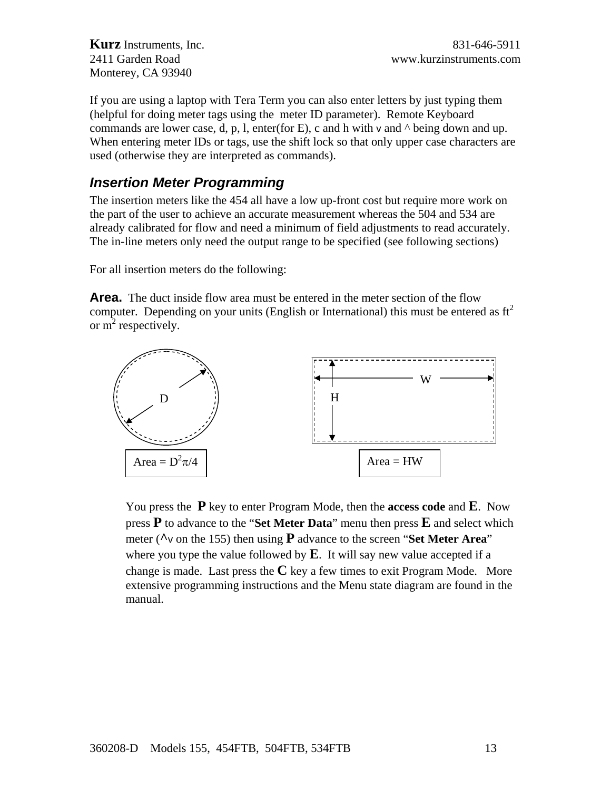If you are using a laptop with Tera Term you can also enter letters by just typing them (helpful for doing meter tags using the meter ID parameter). Remote Keyboard commands are lower case, d, p, l, enter(for E), c and h with v and  $\land$  being down and up. When entering meter IDs or tags, use the shift lock so that only upper case characters are used (otherwise they are interpreted as commands).

# *Insertion Meter Programming*

The insertion meters like the 454 all have a low up-front cost but require more work on the part of the user to achieve an accurate measurement whereas the 504 and 534 are already calibrated for flow and need a minimum of field adjustments to read accurately. The in-line meters only need the output range to be specified (see following sections)

For all insertion meters do the following:

**Area.** The duct inside flow area must be entered in the meter section of the flow computer. Depending on your units (English or International) this must be entered as  $ft<sup>2</sup>$ or  $m^2$  respectively.



You press the **P** key to enter Program Mode, then the **access code** and **E**. Now press **P** to advance to the "**Set Meter Data**" menu then press **E** and select which meter (**^**v on the 155) then using **P** advance to the screen "**Set Meter Area**" where you type the value followed by  $\bf{E}$ . It will say new value accepted if a change is made. Last press the  $C$  key a few times to exit Program Mode. More extensive programming instructions and the Menu state diagram are found in the manual.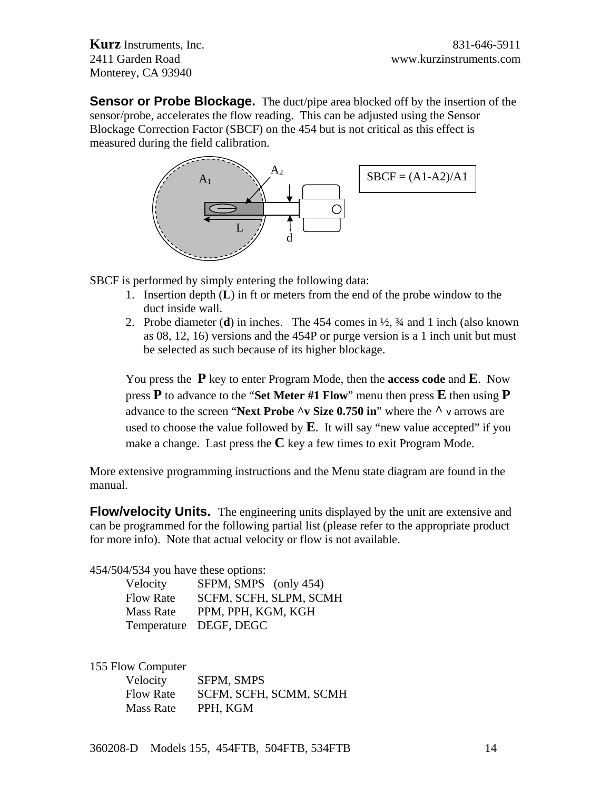**Sensor or Probe Blockage.** The duct/pipe area blocked off by the insertion of the sensor/probe, accelerates the flow reading. This can be adjusted using the Sensor Blockage Correction Factor (SBCF) on the 454 but is not critical as this effect is measured during the field calibration.



SBCF is performed by simply entering the following data:

- 1. Insertion depth (**L**) in ft or meters from the end of the probe window to the duct inside wall.
- 2. Probe diameter (**d**) in inches. The 454 comes in ½, ¾ and 1 inch (also known as 08, 12, 16) versions and the 454P or purge version is a 1 inch unit but must be selected as such because of its higher blockage.

You press the **P** key to enter Program Mode, then the **access code** and **E**. Now press **P** to advance to the "**Set Meter #1 Flow**" menu then press **E** then using **P** advance to the screen "**Next Probe ^v Size 0.750 in**" where the **^** v arrows are used to choose the value followed by **E**. It will say "new value accepted" if you make a change. Last press the **C** key a few times to exit Program Mode.

More extensive programming instructions and the Menu state diagram are found in the manual.

**Flow/velocity Units.** The engineering units displayed by the unit are extensive and can be programmed for the following partial list (please refer to the appropriate product for more info). Note that actual velocity or flow is not available.

454/504/534 you have these options:

| Velocity         | SFPM, SMPS (only 454)  |
|------------------|------------------------|
| <b>Flow Rate</b> | SCFM, SCFH, SLPM, SCMH |
| <b>Mass Rate</b> | PPM, PPH, KGM, KGH     |
|                  | Temperature DEGF, DEGC |

155 Flow Computer

| Velocity  | SFPM, SMPS             |
|-----------|------------------------|
| Flow Rate | SCFM, SCFH, SCMM, SCMH |
| Mass Rate | PPH, KGM               |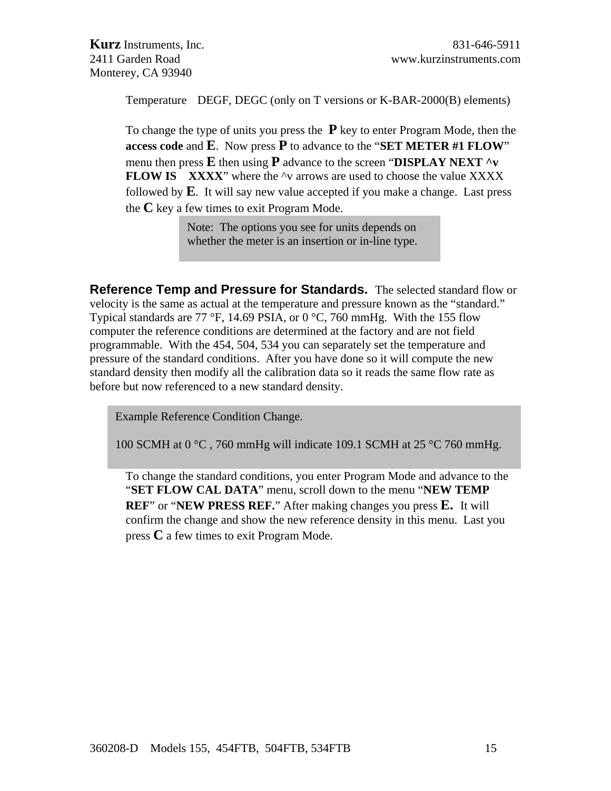Temperature DEGF, DEGC (only on T versions or K-BAR-2000(B) elements)

To change the type of units you press the **P** key to enter Program Mode, then the **access code** and **E**. Now press **P** to advance to the "**SET METER #1 FLOW**" menu then press **E** then using **P** advance to the screen "**DISPLAY NEXT ^v FLOW IS** XXXX<sup>"</sup> where the  $\sim$ v arrows are used to choose the value XXXX followed by **E**. It will say new value accepted if you make a change. Last press the **C** key a few times to exit Program Mode.

> Note: The options you see for units depends on whether the meter is an insertion or in-line type.

**Reference Temp and Pressure for Standards.** The selected standard flow or velocity is the same as actual at the temperature and pressure known as the "standard." Typical standards are 77 °F, 14.69 PSIA, or 0 °C, 760 mmHg. With the 155 flow computer the reference conditions are determined at the factory and are not field programmable. With the 454, 504, 534 you can separately set the temperature and pressure of the standard conditions. After you have done so it will compute the new standard density then modify all the calibration data so it reads the same flow rate as before but now referenced to a new standard density.

Example Reference Condition Change.

100 SCMH at 0  $\degree$ C, 760 mmHg will indicate 109.1 SCMH at 25  $\degree$ C 760 mmHg.

To change the standard conditions, you enter Program Mode and advance to the "**SET FLOW CAL DATA**" menu, scroll down to the menu "**NEW TEMP REF**" or "**NEW PRESS REF.**" After making changes you press **E.** It will confirm the change and show the new reference density in this menu. Last you press **C** a few times to exit Program Mode.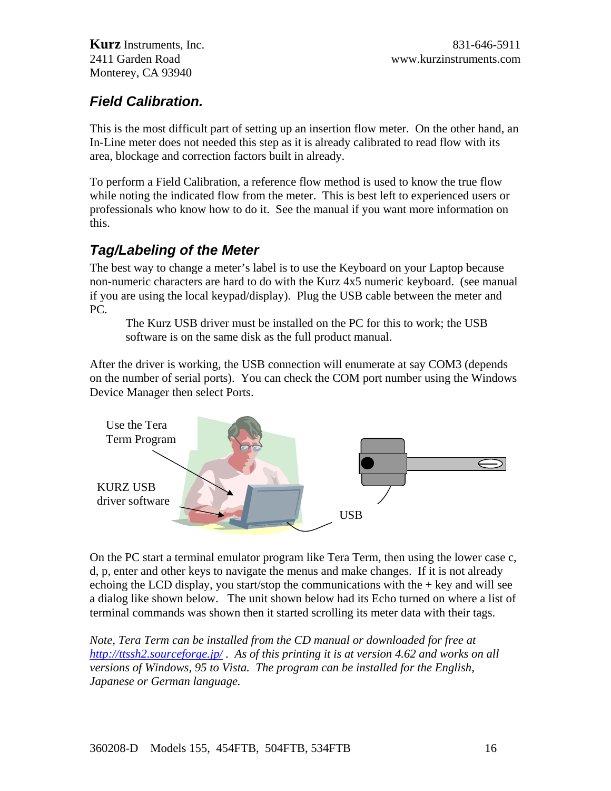# *Field Calibration.*

This is the most difficult part of setting up an insertion flow meter. On the other hand, an In-Line meter does not needed this step as it is already calibrated to read flow with its area, blockage and correction factors built in already.

To perform a Field Calibration, a reference flow method is used to know the true flow while noting the indicated flow from the meter. This is best left to experienced users or professionals who know how to do it. See the manual if you want more information on this.

# *Tag/Labeling of the Meter*

The best way to change a meter's label is to use the Keyboard on your Laptop because non-numeric characters are hard to do with the Kurz 4x5 numeric keyboard. (see manual if you are using the local keypad/display). Plug the USB cable between the meter and PC.

The Kurz USB driver must be installed on the PC for this to work; the USB software is on the same disk as the full product manual.

After the driver is working, the USB connection will enumerate at say COM3 (depends on the number of serial ports). You can check the COM port number using the Windows Device Manager then select Ports.



On the PC start a terminal emulator program like Tera Term, then using the lower case c, d, p, enter and other keys to navigate the menus and make changes. If it is not already echoing the LCD display, you start/stop the communications with the  $+$  key and will see a dialog like shown below. The unit shown below had its Echo turned on where a list of terminal commands was shown then it started scrolling its meter data with their tags.

*Note, Tera Term can be installed from the CD manual or downloaded for free at <http://ttssh2.sourceforge.jp/> . As of this printing it is at version 4.62 and works on all versions of Windows, 95 to Vista. The program can be installed for the English, Japanese or German language.*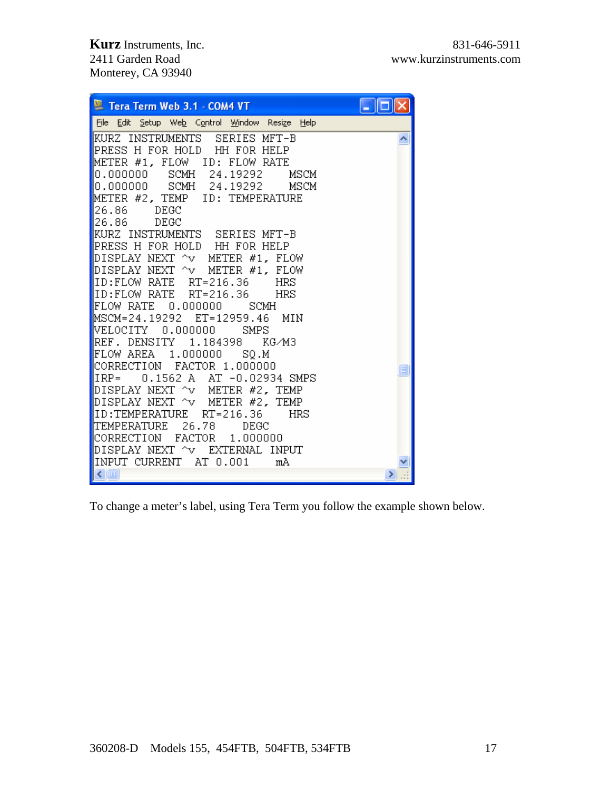| Tera Term Web 3.1 - COM4 VT                                                                                                                                                                                                                                         |   |
|---------------------------------------------------------------------------------------------------------------------------------------------------------------------------------------------------------------------------------------------------------------------|---|
| File Edit Setup Web Control Window Resize Help                                                                                                                                                                                                                      |   |
| KURZ INSTRUMENTS SERIES MFT-B<br>PRESS H FOR HOLD  HH FOR HELP<br>METER #1, FLOW ID: FLOW RATE<br>0.000000 SCMH 24.19292<br>MSCM<br>O.OOOOOO SCMH 24.19292<br>MSCM<br>METER #2, TEMP ID: TEMPERATURE<br>126.86<br>DEGC<br>126.86<br>DEGC                            |   |
| KURZ INSTRUMENTS SERIES MFT-B<br>PRESS H FOR HOLD HH FOR HELP<br>DISPLAY NEXT ^v METER #1, FLOW<br>DISPLAY NEXT ^v  METER #1, FLOW<br>ID:FLOW RATE RT=216.36<br>HRS<br>ID:FLOW RATE RT=216.36<br>HRS<br>FLOW RATE 0.000000<br>SCMH<br>MSCM=24.19292 ET=12959.46 MIN |   |
| WELOCITY<br>0.000000<br>SMPS<br>REF. DENSITY 1.184398 KG/M3<br>FLOW AREA 1.000000 SQ.M<br>CORRECTION FACTOR 1.000000<br>IRP=<br>0.1562 A AT -0.02934 SMPS<br>DISPLAY NEXT ^v METER #2, TEMP                                                                         | E |
| DISPLAY NEXT ^v METER #2, TEMP<br>ID:TEMPERATURE RT=216.36<br>HRS<br> TEMPERATURE 26.78 DEGC<br>CORRECTION FACTOR 1.000000<br>DISPLAY NEXT ^v EXTERNAL INPUT<br>INPUT CURRENT AT 0.001<br>mÀ<br>$\leq$ [ $\text{m}$ ]                                               |   |

To change a meter's label, using Tera Term you follow the example shown below.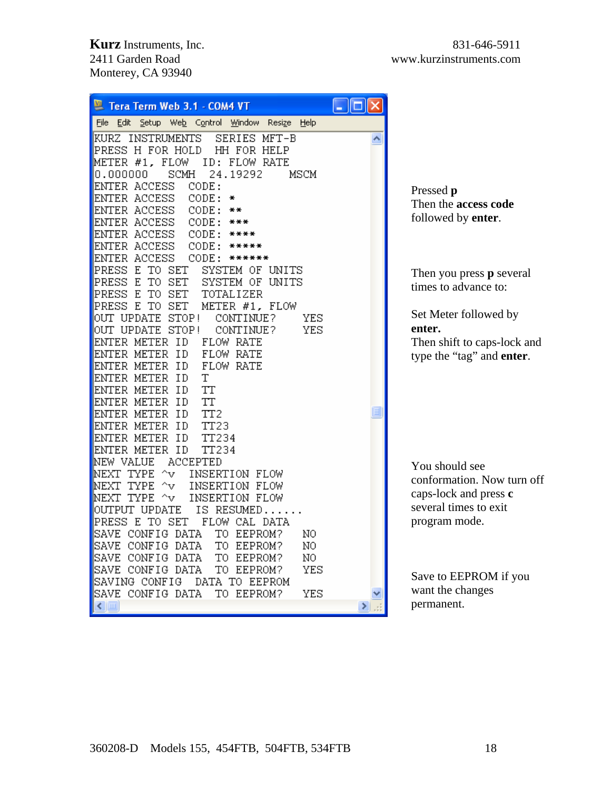| Tera Term Web 3.1 - COM4 VT                                                     |                                   |
|---------------------------------------------------------------------------------|-----------------------------------|
| Edit Setup Web Control Window Resize<br>Help<br>File                            |                                   |
| SERIES MFT-B<br>KURZ INSTRUMENTS<br>PRESS H FOR HOLD<br>HH FOR HELP             |                                   |
| METER #1, FLOW<br>ID: FLOW RATE                                                 |                                   |
| SCMH<br>24.19292<br>0.000000<br>MSCM<br>ENTER ACCESS<br>CODE:                   |                                   |
| ENTER ACCESS<br>CODE:<br>₩                                                      | Pressed p                         |
| ENTER ACCESS<br>CODE:<br>**                                                     | Then the access code              |
| ENTER ACCESS<br>CODE:<br>***                                                    | followed by enter.                |
| ENTER ACCESS<br>CODE:<br>****                                                   |                                   |
| ENTER ACCESS<br>CODE:<br>*****                                                  |                                   |
| ENTER ACCESS<br>CODE:<br>******                                                 |                                   |
| PRESS<br>E TO SET<br>SYSTEM OF UNITS                                            | Then you press <b>p</b> several   |
| E<br>TO SET<br>PRESS<br>SYSTEM OF<br>UNITS<br>E<br>TO SET<br>PRESS<br>TOTALIZER | times to advance to:              |
| PRESS E<br>TO SET<br>METER #1, FLOW                                             |                                   |
| OUT UPDATE STOP!<br>CONTINUE?<br>YES                                            | Set Meter followed by             |
| OUT UPDATE STOP!<br>YES<br>CONTINUE?                                            | enter.                            |
| ENTER METER ID<br>FLOW RATE                                                     | Then shift to caps-lock and       |
| FLOW RATE<br>ENTER METER ID                                                     | type the "tag" and <b>enter</b> . |
| FLOW RATE<br>ENTER METER ID                                                     |                                   |
| ENTER METER ID<br>Τ                                                             |                                   |
| ENTER METER ID<br>TT<br>TT<br>ENTER METER<br>ΙD                                 |                                   |
| ENTER METER<br>ID<br>TT2                                                        |                                   |
| ENTER METER ID<br>TT23                                                          |                                   |
| ENTER METER ID<br>TT234                                                         |                                   |
| ENTER METER ID<br>TT234                                                         |                                   |
| ACCEPTED<br>NEW VALUE                                                           | You should see                    |
| INSERTION FLOW<br>TYPE<br>^v<br>NEXT                                            | conformation. Now turn off        |
| $\sim$ v<br>INSERTION FLOW<br>TYPE                                              | caps-lock and press c             |
| TYPE<br>$\mathord{\sim_\mathrm{V}}$<br>INSERTION FLOW<br>NEXT                   | several times to exit             |
| OUTPUT UPDATE<br>IS RESUMED<br>FLOW CAL DATA<br>PRESS<br>E TO SET               | program mode.                     |
| CONFIG DATA<br>TO EEPROM?<br>NO                                                 |                                   |
| CONFIG DATA<br>NO<br>TO EEPROM?<br>SAVE                                         |                                   |
| CONFIG DATA<br>TO EEPROM?<br>ΝO<br>SAVE                                         |                                   |
| YES<br>CONFIG DATA<br>TO EEPROM?<br>SAVE                                        | Save to EEPROM if you             |
| SAVING CONFIG<br>DATA TO EEPROM                                                 |                                   |
| SAVE CONFIG DATA<br>TO EEPROM?<br>YES                                           | want the changes                  |
| $\leftarrow$ $\mathbb{H}$                                                       | permanent.                        |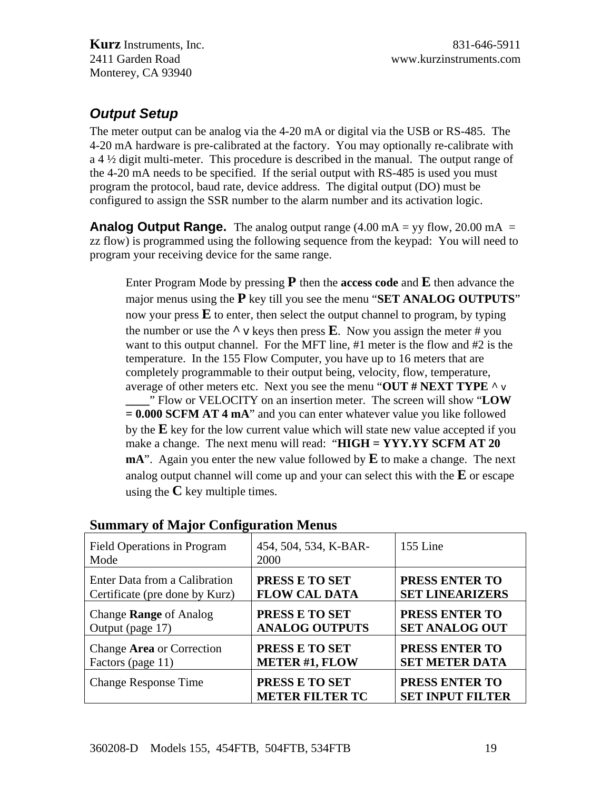# *Output Setup*

The meter output can be analog via the 4-20 mA or digital via the USB or RS-485. The 4-20 mA hardware is pre-calibrated at the factory. You may optionally re-calibrate with a 4 ½ digit multi-meter. This procedure is described in the manual. The output range of the 4-20 mA needs to be specified. If the serial output with RS-485 is used you must program the protocol, baud rate, device address. The digital output (DO) must be configured to assign the SSR number to the alarm number and its activation logic.

**Analog Output Range.** The analog output range (4.00 mA = yy flow, 20.00 mA = zz flow) is programmed using the following sequence from the keypad: You will need to program your receiving device for the same range.

Enter Program Mode by pressing **P** then the **access code** and **E** then advance the major menus using the **P** key till you see the menu "**SET ANALOG OUTPUTS**" now your press  $\bf{E}$  to enter, then select the output channel to program, by typing the number or use the  $\wedge$  v keys then press **E**. Now you assign the meter # you want to this output channel. For the MFT line, #1 meter is the flow and #2 is the temperature. In the 155 Flow Computer, you have up to 16 meters that are completely programmable to their output being, velocity, flow, temperature, average of other meters etc. Next you see the menu "**OUT # NEXT TYPE ^** v **\_\_\_\_**" Flow or VELOCITY on an insertion meter. The screen will show "**LOW = 0.000 SCFM AT 4 mA**" and you can enter whatever value you like followed by the **E** key for the low current value which will state new value accepted if you make a change. The next menu will read: "**HIGH = YYY.YY SCFM AT 20 mA**". Again you enter the new value followed by **E** to make a change. The next analog output channel will come up and your can select this with the **E** or escape using the  $\bf{C}$  key multiple times.

| Field Operations in Program<br>Mode | 454, 504, 534, K-BAR-<br>2000            | 155 Line                                  |
|-------------------------------------|------------------------------------------|-------------------------------------------|
| Enter Data from a Calibration       | PRESS E TO SET                           | PRESS ENTER TO                            |
| Certificate (pre done by Kurz)      | <b>FLOW CAL DATA</b>                     | <b>SET LINEARIZERS</b>                    |
| Change <b>Range</b> of Analog       | PRESS E TO SET                           | PRESS ENTER TO                            |
| Output (page 17)                    | <b>ANALOG OUTPUTS</b>                    | <b>SET ANALOG OUT</b>                     |
| Change Area or Correction           | PRESS E TO SET                           | PRESS ENTER TO                            |
| Factors (page 11)                   | <b>METER #1, FLOW</b>                    | <b>SET METER DATA</b>                     |
| <b>Change Response Time</b>         | PRESS E TO SET<br><b>METER FILTER TC</b> | PRESS ENTER TO<br><b>SET INPUT FILTER</b> |

#### **Summary of Major Configuration Menus**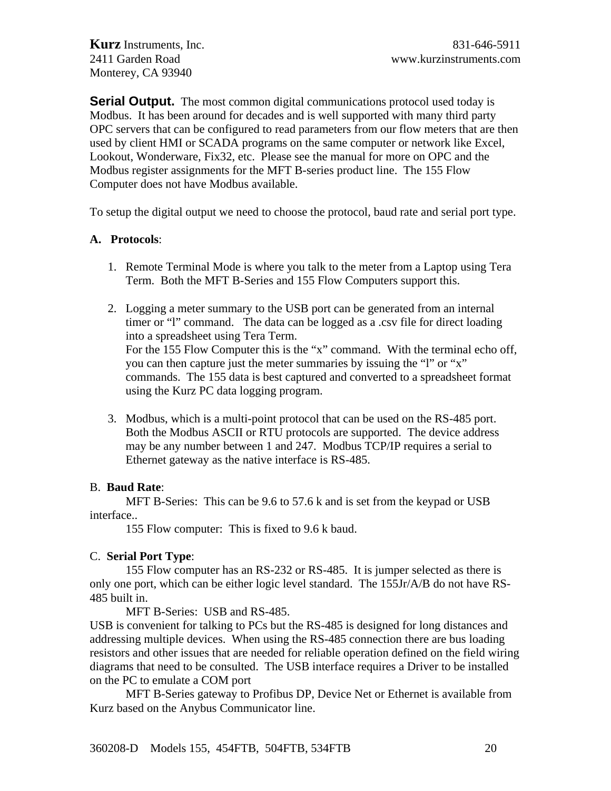**Serial Output.** The most common digital communications protocol used today is Modbus. It has been around for decades and is well supported with many third party OPC servers that can be configured to read parameters from our flow meters that are then used by client HMI or SCADA programs on the same computer or network like Excel, Lookout, Wonderware, Fix32, etc. Please see the manual for more on OPC and the Modbus register assignments for the MFT B-series product line. The 155 Flow Computer does not have Modbus available.

To setup the digital output we need to choose the protocol, baud rate and serial port type.

#### **A. Protocols**:

- 1. Remote Terminal Mode is where you talk to the meter from a Laptop using Tera Term. Both the MFT B-Series and 155 Flow Computers support this.
- 2. Logging a meter summary to the USB port can be generated from an internal timer or "l" command. The data can be logged as a .csv file for direct loading into a spreadsheet using Tera Term. For the 155 Flow Computer this is the "x" command. With the terminal echo off, you can then capture just the meter summaries by issuing the "l" or "x" commands. The 155 data is best captured and converted to a spreadsheet format using the Kurz PC data logging program.
- 3. Modbus, which is a multi-point protocol that can be used on the RS-485 port. Both the Modbus ASCII or RTU protocols are supported. The device address may be any number between 1 and 247. Modbus TCP/IP requires a serial to Ethernet gateway as the native interface is RS-485.

#### B. **Baud Rate**:

 MFT B-Series: This can be 9.6 to 57.6 k and is set from the keypad or USB interface..

155 Flow computer: This is fixed to 9.6 k baud.

#### C. **Serial Port Type**:

 155 Flow computer has an RS-232 or RS-485. It is jumper selected as there is only one port, which can be either logic level standard. The 155Jr/A/B do not have RS-485 built in.

MFT B-Series: USB and RS-485.

USB is convenient for talking to PCs but the RS-485 is designed for long distances and addressing multiple devices. When using the RS-485 connection there are bus loading resistors and other issues that are needed for reliable operation defined on the field wiring diagrams that need to be consulted. The USB interface requires a Driver to be installed on the PC to emulate a COM port

 MFT B-Series gateway to Profibus DP, Device Net or Ethernet is available from Kurz based on the Anybus Communicator line.